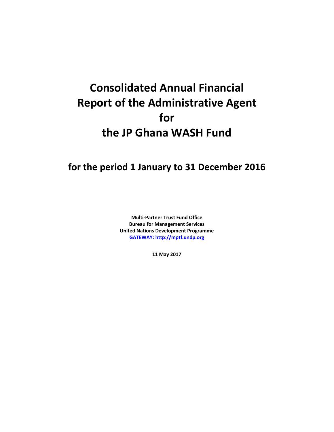# **Consolidated Annual Financial Report of the Administrative Agent for the JP Ghana WASH Fund**

## **for the period 1 January to 31 December 2016**

**Multi-Partner Trust Fund Office Bureau for Management Services United Nations Development Programme [GATEWAY: http://mptf.undp.org](http://mptf.undp.org/)**

**11 May 2017**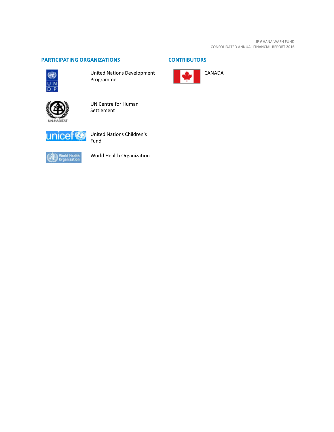#### **PARTICIPATING ORGANIZATIONS CONTRIBUTORS**



United Nations Development Programme



UN Centre for Human Settlement



United Nations Children's Fund



World Health Organization

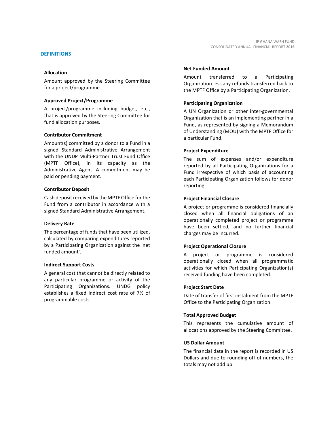Amount approved by the Steering Committee for a project/programme.

#### **Approved Project/Programme**

A project/programme including budget, etc., that is approved by the Steering Committee for fund allocation purposes.

#### **Contributor Commitment**

Amount(s) committed by a donor to a Fund in a signed Standard Administrative Arrangement with the UNDP Multi-Partner Trust Fund Office (MPTF Office), in its capacity as the Administrative Agent. A commitment may be paid or pending payment.

#### **Contributor Deposit**

Cash deposit received by the MPTF Office for the Fund from a contributor in accordance with a signed Standard Administrative Arrangement.

#### **Delivery Rate**

The percentage of funds that have been utilized, calculated by comparing expenditures reported by a Participating Organization against the 'net funded amount'.

#### **Indirect Support Costs**

A general cost that cannot be directly related to any particular programme or activity of the Participating Organizations. UNDG policy establishes a fixed indirect cost rate of 7% of programmable costs.

### **Net Funded Amount**

Amount transferred to a Participating Organization less any refunds transferred back to the MPTF Office by a Participating Organization.

#### **Participating Organization**

A UN Organization or other inter-governmental Organization that is an implementing partner in a Fund, as represented by signing a Memorandum of Understanding (MOU) with the MPTF Office for a particular Fund.

#### **Project Expenditure**

The sum of expenses and/or expenditure reported by all Participating Organizations for a Fund irrespective of which basis of accounting each Participating Organization follows for donor reporting.

#### **Project Financial Closure**

A project or programme is considered financially closed when all financial obligations of an operationally completed project or programme have been settled, and no further financial charges may be incurred.

#### **Project Operational Closure**

A project or programme is considered operationally closed when all programmatic activities for which Participating Organization(s) received funding have been completed.

#### **Project Start Date**

Date of transfer of first instalment from the MPTF Office to the Participating Organization.

#### **Total Approved Budget**

This represents the cumulative amount of allocations approved by the Steering Committee.

#### **US Dollar Amount**

The financial data in the report is recorded in US Dollars and due to rounding off of numbers, the totals may not add up.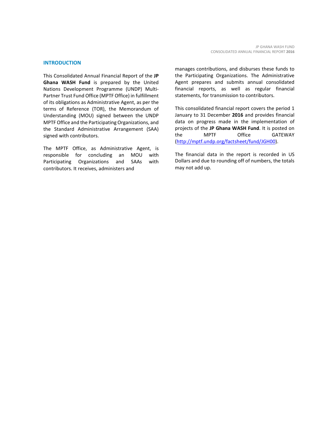This Consolidated Annual Financial Report of the **JP Ghana WASH Fund** is prepared by the United Nations Development Programme (UNDP) Multi-Partner Trust Fund Office (MPTF Office) in fulfillment of its obligations as Administrative Agent, as per the terms of Reference (TOR), the Memorandum of Understanding (MOU) signed between the UNDP MPTF Office and the Participating Organizations, and the Standard Administrative Arrangement (SAA) signed with contributors.

The MPTF Office, as Administrative Agent, is responsible for concluding an MOU with Participating Organizations and SAAs with contributors. It receives, administers and

manages contributions, and disburses these funds to the Participating Organizations. The Administrative Agent prepares and submits annual consolidated financial reports, as well as regular financial statements, for transmission to contributors.

This consolidated financial report covers the period 1 January to 31 December **2016** and provides financial data on progress made in the implementation of projects of the **JP Ghana WASH Fund**. It is posted on the MPTF Office GATEWAY [\(http://mptf.undp.org/factsheet/fund/JGH00\)](http://mptf.undp.org/factsheet/fund/JGH00).

The financial data in the report is recorded in US Dollars and due to rounding off of numbers, the totals may not add up.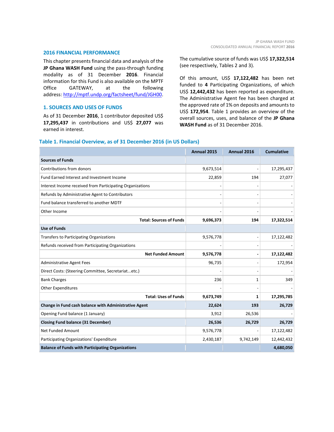#### **2016 FINANCIAL PERFORMANCE**

This chapter presents financial data and analysis of the **JP Ghana WASH Fund** using the pass-through funding modality as of 31 December **2016**. Financial information for this Fund is also available on the MPTF Office GATEWAY, at the following address: [http://mptf.undp.org/factsheet/fund/JGH00.](http://mptf.undp.org/factsheet/fund/JGH00)

#### **1. SOURCES AND USES OF FUNDS**

As of 31 December **2016**, 1 contributor deposited US\$ **17,295,437** in contributions and US\$ **27,077** was earned in interest.

The cumulative source of funds was US\$ **17,322,514** (see respectively, Tables 2 and 3).

Of this amount, US\$ **17,122,482** has been net funded to **4** Participating Organizations, of which US\$ **12,442,432** has been reported as expenditure. The Administrative Agent fee has been charged at the approved rate of 1% on deposits and amounts to US\$ **172,954**. Table 1 provides an overview of the overall sources, uses, and balance of the **JP Ghana WASH Fund** as of 31 December 2016.

| Table 1. Financial Overview, as of 31 December 2016 (in US Dollars) |  |
|---------------------------------------------------------------------|--|
|                                                                     |  |

|                                                           | Annual 2015 | Annual 2016 | <b>Cumulative</b> |
|-----------------------------------------------------------|-------------|-------------|-------------------|
| <b>Sources of Funds</b>                                   |             |             |                   |
| Contributions from donors                                 | 9,673,514   |             | 17,295,437        |
| Fund Earned Interest and Investment Income                | 22,859      | 194         | 27,077            |
| Interest Income received from Participating Organizations |             |             |                   |
| Refunds by Administrative Agent to Contributors           |             |             |                   |
| Fund balance transferred to another MDTF                  |             |             |                   |
| Other Income                                              |             |             |                   |
| <b>Total: Sources of Funds</b>                            | 9,696,373   | 194         | 17,322,514        |
| <b>Use of Funds</b>                                       |             |             |                   |
| Transfers to Participating Organizations                  | 9,576,778   |             | 17,122,482        |
| Refunds received from Participating Organizations         |             |             |                   |
| <b>Net Funded Amount</b>                                  | 9,576,778   |             | 17,122,482        |
| Administrative Agent Fees                                 | 96,735      |             | 172,954           |
| Direct Costs: (Steering Committee, Secretariatetc.)       |             |             |                   |
| <b>Bank Charges</b>                                       | 236         | 1           | 349               |
| <b>Other Expenditures</b>                                 |             |             |                   |
| <b>Total: Uses of Funds</b>                               | 9,673,749   | 1           | 17,295,785        |
| Change in Fund cash balance with Administrative Agent     | 22,624      | 193         | 26,729            |
| Opening Fund balance (1 January)                          | 3,912       | 26,536      |                   |
| <b>Closing Fund balance (31 December)</b>                 | 26,536      | 26,729      | 26,729            |
| <b>Net Funded Amount</b>                                  | 9,576,778   |             | 17,122,482        |
| Participating Organizations' Expenditure                  | 2,430,187   | 9,742,149   | 12,442,432        |
| <b>Balance of Funds with Participating Organizations</b>  |             |             | 4,680,050         |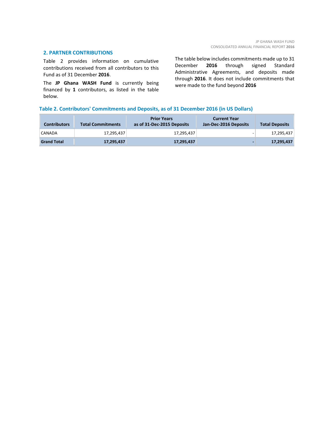#### **2. PARTNER CONTRIBUTIONS**

Table 2 provides information on cumulative contributions received from all contributors to this Fund as of 31 December **2016**.

The **JP Ghana WASH Fund** is currently being financed by **1** contributors, as listed in the table below.

The table below includes commitments made up to 31<br>December 2016 through signed Standard 2016 through signed Standard Administrative Agreements, and deposits made through **2016**. It does not include commitments that were made to the fund beyond **2016**

#### **Table 2. Contributors' Commitments and Deposits, as of 31 December 2016 (in US Dollars)**

| <b>Contributors</b> | <b>Total Commitments</b> | <b>Prior Years</b><br>as of 31-Dec-2015 Deposits | <b>Current Year</b><br>Jan-Dec-2016 Deposits | <b>Total Deposits</b> |
|---------------------|--------------------------|--------------------------------------------------|----------------------------------------------|-----------------------|
| CANADA              | 17.295.437               | 17.295.437                                       |                                              | 17,295,437            |
| <b>Grand Total</b>  | 17,295,437               | 17,295,437                                       |                                              | 17,295,437            |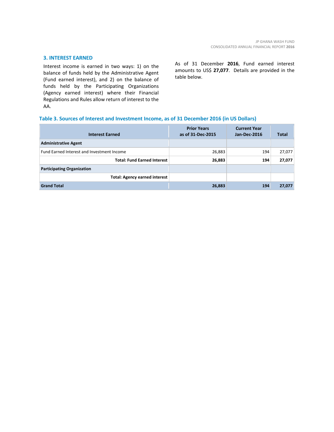#### **3. INTEREST EARNED**

Interest income is earned in two ways: 1) on the balance of funds held by the Administrative Agent (Fund earned interest), and 2) on the balance of funds held by the Participating Organizations (Agency earned interest) where their Financial Regulations and Rules allow return of interest to the AA.

As of 31 December **2016**, Fund earned interest amounts to US\$ **27,077**. Details are provided in the table below.

#### **Table 3. Sources of Interest and Investment Income, as of 31 December 2016 (in US Dollars)**

| <b>Interest Earned</b>                     | <b>Prior Years</b><br>as of 31-Dec-2015 | <b>Current Year</b><br>Jan-Dec-2016 | <b>Total</b> |
|--------------------------------------------|-----------------------------------------|-------------------------------------|--------------|
| <b>Administrative Agent</b>                |                                         |                                     |              |
| Fund Earned Interest and Investment Income | 26,883                                  | 194                                 | 27,077       |
| <b>Total: Fund Earned Interest</b>         | 26,883                                  | 194                                 | 27,077       |
| <b>Participating Organization</b>          |                                         |                                     |              |
| <b>Total: Agency earned interest</b>       |                                         |                                     |              |
| <b>Grand Total</b>                         | 26,883                                  | 194                                 | 27,077       |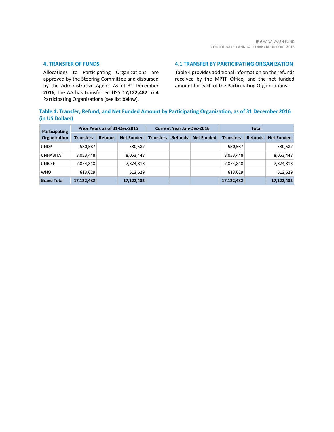#### **4. TRANSFER OF FUNDS**

Allocations to Participating Organizations are approved by the Steering Committee and disbursed by the Administrative Agent. As of 31 December **2016**, the AA has transferred US\$ **17,122,482** to **4** Participating Organizations (see list below).

#### **4.1 TRANSFER BY PARTICIPATING ORGANIZATION**

Table 4 provides additional information on the refunds received by the MPTF Office, and the net funded amount for each of the Participating Organizations.

### **Table 4. Transfer, Refund, and Net Funded Amount by Participating Organization, as of 31 December 2016 (in US Dollars)**

| Participating<br>Organization | Prior Years as of 31-Dec-2015 |                |                   | <b>Current Year Jan-Dec-2016</b> |                |                   | <b>Total</b>     |                |                   |
|-------------------------------|-------------------------------|----------------|-------------------|----------------------------------|----------------|-------------------|------------------|----------------|-------------------|
|                               | <b>Transfers</b>              | <b>Refunds</b> | <b>Net Funded</b> | <b>Transfers</b>                 | <b>Refunds</b> | <b>Net Funded</b> | <b>Transfers</b> | <b>Refunds</b> | <b>Net Funded</b> |
| <b>UNDP</b>                   | 580,587                       |                | 580,587           |                                  |                |                   | 580,587          |                | 580,587           |
| <b>UNHABITAT</b>              | 8,053,448                     |                | 8,053,448         |                                  |                |                   | 8,053,448        |                | 8,053,448         |
| <b>UNICEF</b>                 | 7,874,818                     |                | 7,874,818         |                                  |                |                   | 7,874,818        |                | 7,874,818         |
| <b>WHO</b>                    | 613,629                       |                | 613,629           |                                  |                |                   | 613,629          |                | 613,629           |
| <b>Grand Total</b>            | 17,122,482                    |                | 17,122,482        |                                  |                |                   | 17,122,482       |                | 17,122,482        |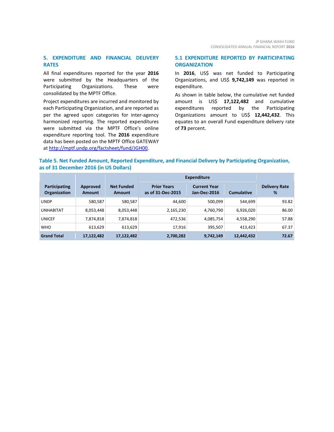#### **5. EXPENDITURE AND FINANCIAL DELIVERY RATES**

All final expenditures reported for the year **2016** were submitted by the Headquarters of the Participating Organizations. These were consolidated by the MPTF Office.

Project expenditures are incurred and monitored by each Participating Organization, and are reported as per the agreed upon categories for inter-agency harmonized reporting. The reported expenditures were submitted via the MPTF Office's online expenditure reporting tool. The **2016** expenditure data has been posted on the MPTF Office GATEWAY at [http://mptf.undp.org/factsheet/fund/JGH00.](http://mptf.undp.org/factsheet/fund/JGH00)

#### **5.1 EXPENDITURE REPORTED BY PARTICIPATING ORGANIZATION**

In **2016**, US\$ was net funded to Participating Organizations, and US\$ **9,742,149** was reported in expenditure.

As shown in table below, the cumulative net funded amount is US\$ **17,122,482** and cumulative expenditures reported by the Participating Organizations amount to US\$ **12,442,432**. This equates to an overall Fund expenditure delivery rate of **73** percent.

#### **Table 5. Net Funded Amount, Reported Expenditure, and Financial Delivery by Participating Organization, as of 31 December 2016 (in US Dollars)**

|                                      |                    |                                    | <b>Expenditure</b>                      |                                     |                   |                           |
|--------------------------------------|--------------------|------------------------------------|-----------------------------------------|-------------------------------------|-------------------|---------------------------|
| Participating<br><b>Organization</b> | Approved<br>Amount | <b>Net Funded</b><br><b>Amount</b> | <b>Prior Years</b><br>as of 31-Dec-2015 | <b>Current Year</b><br>Jan-Dec-2016 | <b>Cumulative</b> | <b>Delivery Rate</b><br>% |
| <b>UNDP</b>                          | 580,587            | 580,587                            | 44.600                                  | 500,099                             | 544,699           | 93.82                     |
| <b>UNHABITAT</b>                     | 8,053,448          | 8,053,448                          | 2,165,230                               | 4,760,790                           | 6,926,020         | 86.00                     |
| <b>UNICEF</b>                        | 7,874,818          | 7,874,818                          | 472,536                                 | 4,085,754                           | 4,558,290         | 57.88                     |
| <b>WHO</b>                           | 613,629            | 613,629                            | 17.916                                  | 395,507                             | 413.423           | 67.37                     |
| <b>Grand Total</b>                   | 17,122,482         | 17,122,482                         | 2,700,282                               | 9,742,149                           | 12,442,432        | 72.67                     |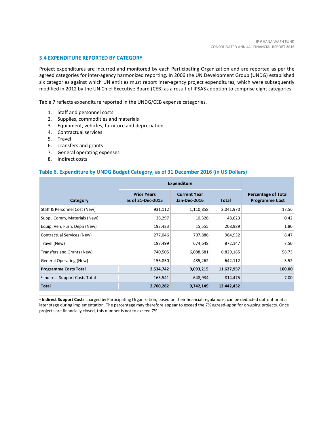#### **5.4 EXPENDITURE REPORTED BY CATEGORY**

Project expenditures are incurred and monitored by each Participating Organization and are reported as per the agreed categories for inter-agency harmonized reporting. In 2006 the UN Development Group (UNDG) established six categories against which UN entities must report inter-agency project expenditures, which were subsequently modified in 2012 by the UN Chief Executive Board (CEB) as a result of IPSAS adoption to comprise eight categories.

Table 7 reflects expenditure reported in the UNDG/CEB expense categories.

- 1. Staff and personnel costs
- 2. Supplies, commodities and materials
- 3. Equipment, vehicles, furniture and depreciation
- 4. Contractual services
- 5. Travel
- 6. Transfers and grants
- 7. General operating expenses
- 8. Indirect costs

\_\_\_\_\_\_\_\_\_\_\_\_\_\_\_\_\_\_\_\_\_\_

#### **Table 6. Expenditure by UNDG Budget Category, as of 31 December 2016 (in US Dollars)**

|                                           | <b>Expenditure</b>                      |                                     |              |                                                     |
|-------------------------------------------|-----------------------------------------|-------------------------------------|--------------|-----------------------------------------------------|
| Category                                  | <b>Prior Years</b><br>as of 31-Dec-2015 | <b>Current Year</b><br>Jan-Dec-2016 | <b>Total</b> | <b>Percentage of Total</b><br><b>Programme Cost</b> |
| Staff & Personnel Cost (New)              | 931,112                                 | 1,110,858                           | 2,041,970    | 17.56                                               |
| Suppl, Comm, Materials (New)              | 38,297                                  | 10,326                              | 48,623       | 0.42                                                |
| Equip, Veh, Furn, Depn (New)              | 193,433                                 | 15,555                              | 208,989      | 1.80                                                |
| Contractual Services (New)                | 277,046                                 | 707,886                             | 984,932      | 8.47                                                |
| Travel (New)                              | 197,499                                 | 674,648                             | 872,147      | 7.50                                                |
| Transfers and Grants (New)                | 740,505                                 | 6,088,681                           | 6,829,185    | 58.73                                               |
| <b>General Operating (New)</b>            | 156,850                                 | 485,262                             | 642,112      | 5.52                                                |
| <b>Programme Costs Total</b>              | 2,534,742                               | 9,093,215                           | 11,627,957   | 100.00                                              |
| <sup>1</sup> Indirect Support Costs Total | 165,541                                 | 648,934                             | 814,475      | 7.00                                                |
| <b>Total</b>                              | 2,700,282                               | 9,742,149                           | 12,442,432   |                                                     |

**<sup>1</sup> Indirect Support Costs** charged by Participating Organization, based on their financial regulations, can be deducted upfront or at a later stage during implementation. The percentage may therefore appear to exceed the 7% agreed-upon for on-going projects. Once projects are financially closed, this number is not to exceed 7%.